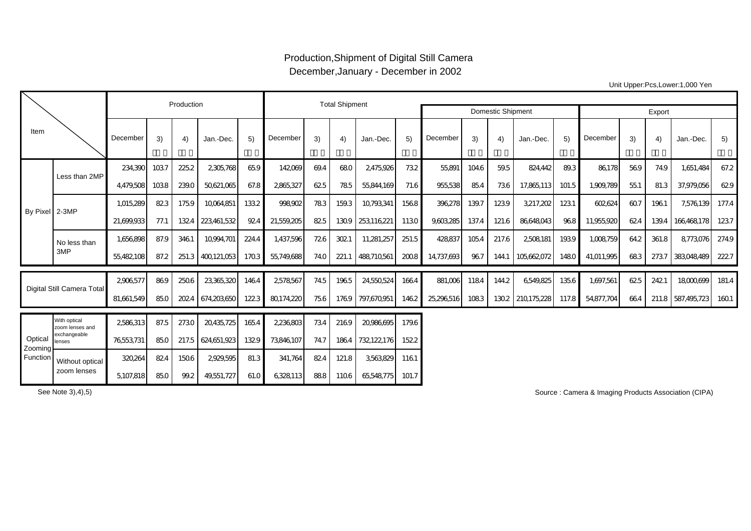## Production,Shipment of Digital Still Camera December,January - December in 2002

Unit Upper:Pcs,Lower:1,000 Yen

|                                |                                 |            | Production |       | <b>Total Shipment</b> |       |            |      |       |                          |        |            |       |       |                 |       |            |      |       |             |       |
|--------------------------------|---------------------------------|------------|------------|-------|-----------------------|-------|------------|------|-------|--------------------------|--------|------------|-------|-------|-----------------|-------|------------|------|-------|-------------|-------|
|                                |                                 |            |            |       |                       |       |            |      |       | <b>Domestic Shipment</b> | Export |            |       |       |                 |       |            |      |       |             |       |
| Item                           |                                 | December   | 3)         | 4)    | Jan.-Dec.             | 5)    | December   | 3)   | 4)    | Jan.-Dec.                | 5)     | December   | 3)    | 4)    | Jan.-Dec.       | 5)    | December   | 3)   | 4)    | Jan.-Dec.   | 5)    |
| By Pixel 2-3MP                 | Less than 2MP                   | 234,390    | 1037       | 225.2 | 2,305,768             | 65.9  | 142069     | 69.4 | 680   | 2,475,926                | 732    | 55,891     | 104.6 | 59.5  | 824,442         | 89.3  | 86,178     | 569  | 74.9  | 1,651,484   | 67.2  |
|                                |                                 | 4,479,508  | 1038       | 239.0 | 50,621,065            | 67.8  | 2865,327   | 625  | 785   | 55,844,169               | 71.6   | 955,538    | 85.4  | 736   | 17,865,113      | 101.5 | 1,909,789  | 551  | 81.3  | 37,979,056  | 629   |
|                                |                                 | 1,015,289  | 823        | 1759  | 10064,851             | 1332  | 998,902    | 783  | 159.3 | 10793341                 | 1568   | 396,278    | 139.7 | 1239  | 3,217,202       | 1231  | 602,624    | 607  | 1961  | 7,576,139   | 177.4 |
|                                |                                 | 21,699,933 | 77.1       | 1324  | 223,461,532           | 924   | 21,559,205 | 825  | 1309  | 253116221                | 1130   | 9,603,285  | 137.4 | 121.6 | 86,648,043      | 968   | 11,955,920 | 624  | 139.4 | 166468178   | 1237  |
|                                | No less than                    | 1,656,898  | 87.9       | 3461  | 10,994,701            | 224.4 | 1,437,596  | 726  | 3021  | 11,281,257               | 251.5  | 428837     | 1054  | 217.6 | 2508,181        | 1939  | 1,008,759  | 64.2 | 361.8 | 8773,076    | 274.9 |
|                                | 3MP                             | 55,482108  | 87.2       | 251.3 | 400121.053            | 1703  | 55,749,688 | 74.0 | 221.1 | 488710561                | 2008   | 14.737.693 | 967   | 144.1 | 105.662072      | 1480  | 41.011.995 | 683  | 2737  | 383048489   | 2227  |
| Digital Still Camera Total     |                                 | 2906577    | 869        | 2506  | 23,365,320            | 1464  | 2578567    | 745  | 1965  | 24,550,524               | 1664   | 881,006    | 1184  | 144.2 | 6549.825        | 135.6 | 1.697.561  | 625  | 2421  | 18000699    | 181.4 |
|                                |                                 | 81,661,549 | 85.0       | 2024  | 674,203,650           | 1223  | 80174,220  | 756  | 1769  | 797,670,951              | 1462   | 25,296,516 | 1083  |       | 1302 210175,228 | 117.8 | 54,877,704 | 664  | 211.8 | 587,495,723 | 1601  |
| Optical<br>Zooming<br>Function | With optical<br>zoom lenses and | 2586313    | 87.5       | 2730  | 20,435,725            | 165.4 | 2,236,803  | 734  | 2169  | 20986695                 | 179.6  |            |       |       |                 |       |            |      |       |             |       |
|                                | exchangeable<br>lenses          | 76553,731  | 85.0       | 217.5 | 624,651,923           | 1329  | 73846107   | 74.7 | 1864  | 732122176                | 1522   |            |       |       |                 |       |            |      |       |             |       |
|                                | Without optical<br>zoom lenses  | 320264     | 824        | 1506  | 2929,595              | 81.3  | 341,764    | 824  | 121.8 | 3563829                  | 1161   |            |       |       |                 |       |            |      |       |             |       |
|                                |                                 | 5,107,818  | 85.0       | 99.2  | 49,551,727            | 61.0  | 6328113    | 888  | 1106  | 65548775                 | 101.7  |            |       |       |                 |       |            |      |       |             |       |

See Note 3),4),5) Source : Camera & Imaging Products Association (CIPA)